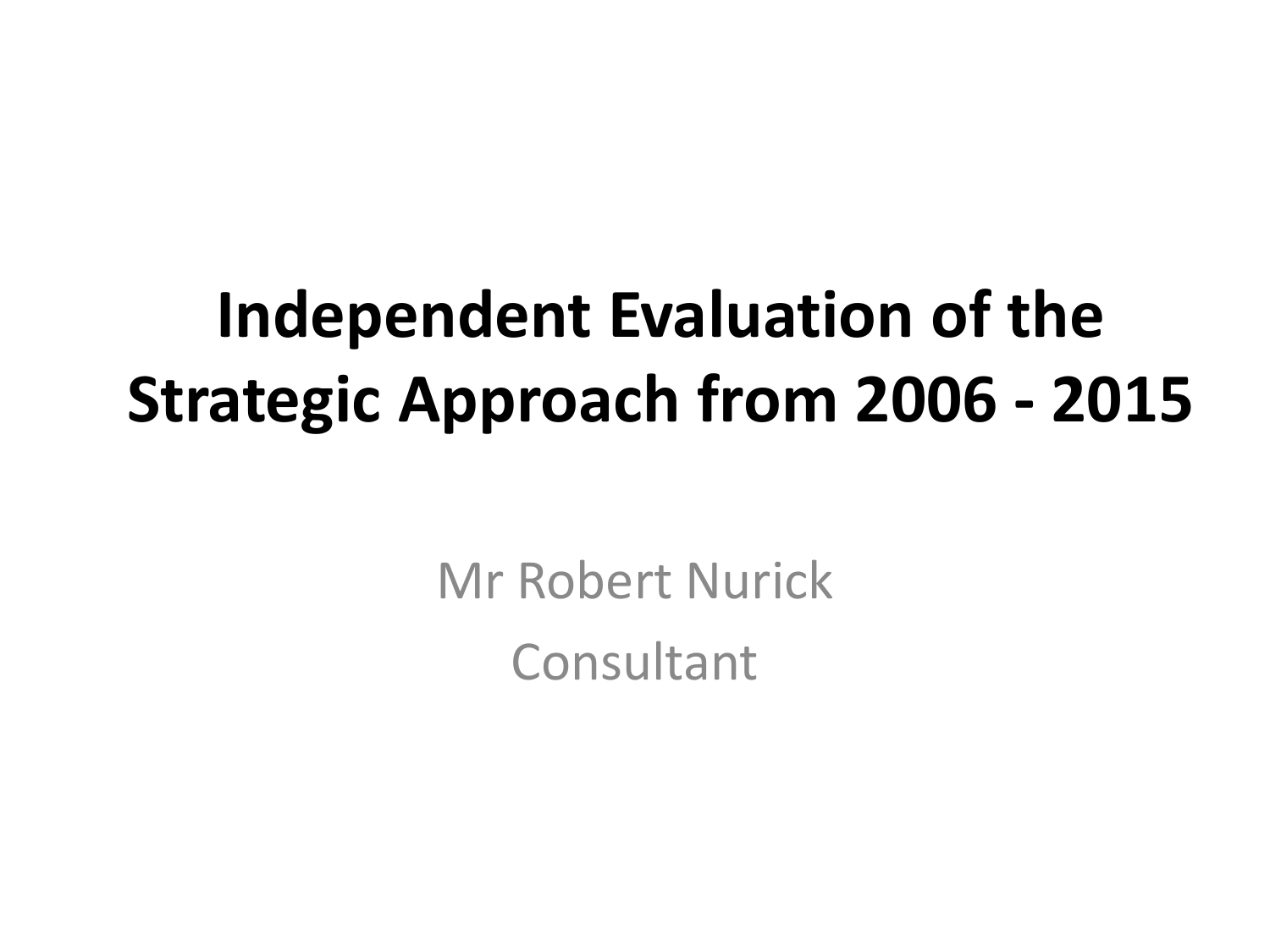#### **Independent Evaluation of the Strategic Approach from 2006 - 2015**

Mr Robert Nurick **Consultant**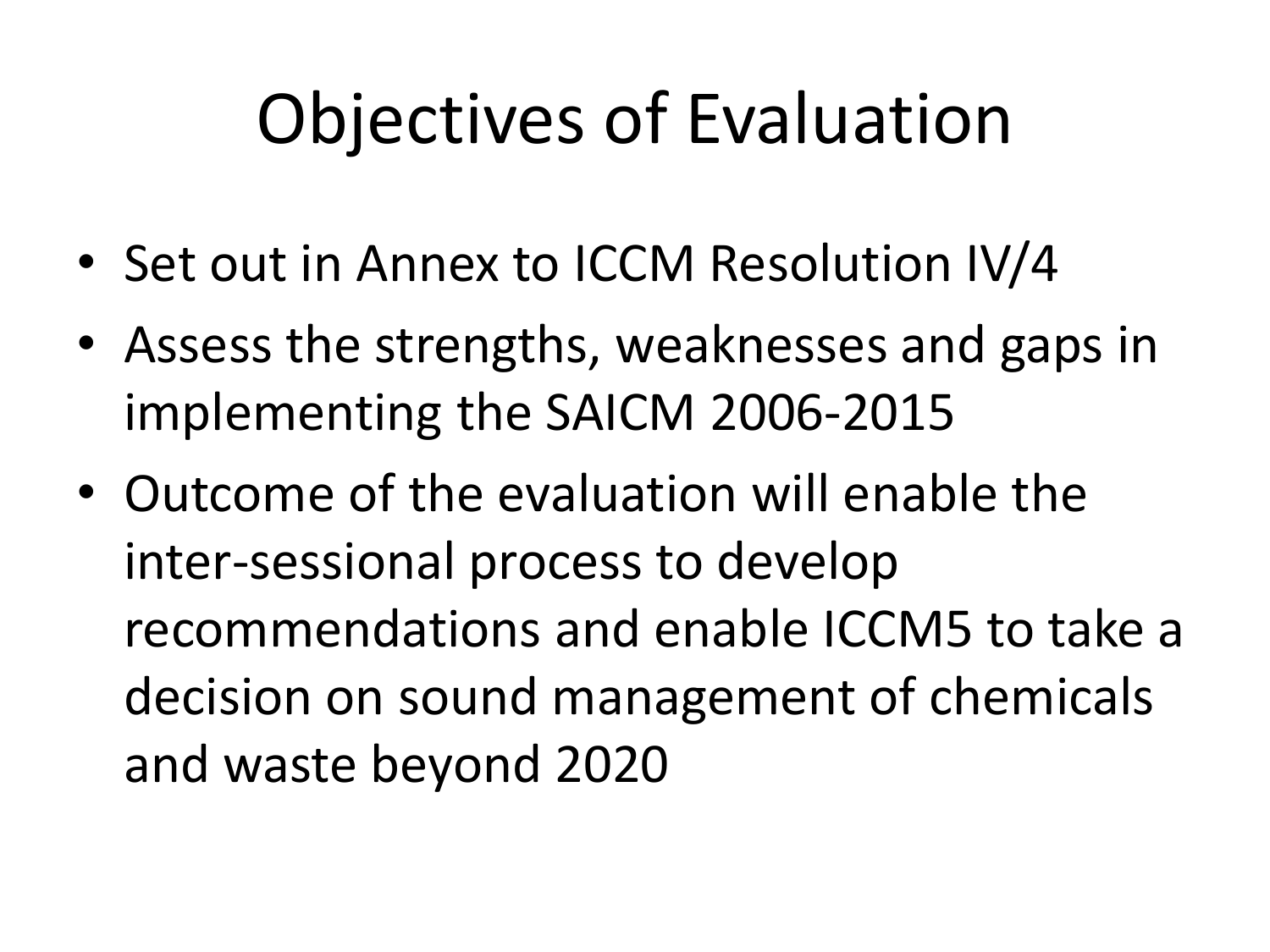# Objectives of Evaluation

- Set out in Annex to ICCM Resolution IV/4
- Assess the strengths, weaknesses and gaps in implementing the SAICM 2006-2015
- Outcome of the evaluation will enable the inter-sessional process to develop recommendations and enable ICCM5 to take a decision on sound management of chemicals and waste beyond 2020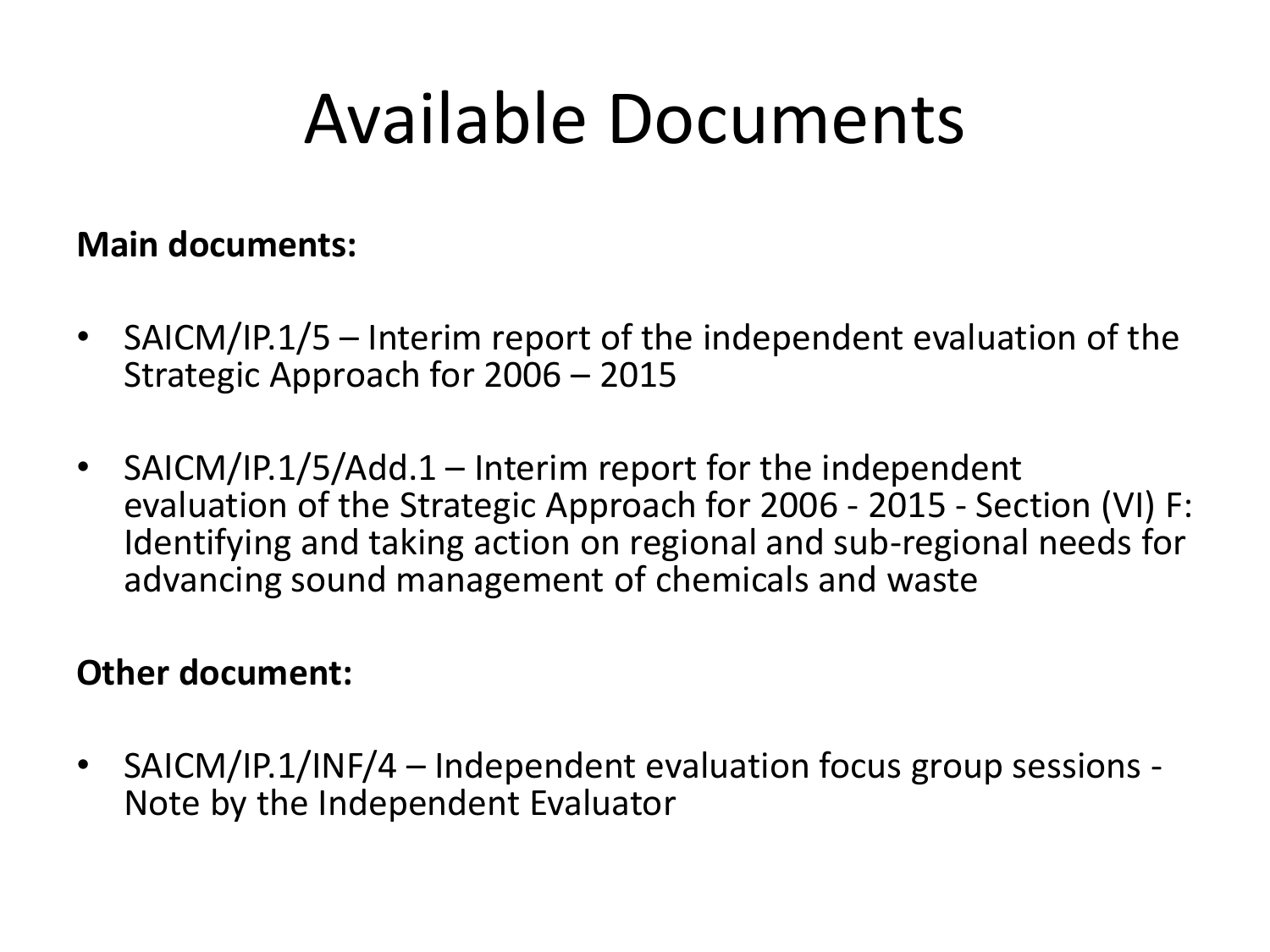#### Available Documents

#### **Main documents:**

- SAICM/IP.1/5 Interim report of the independent evaluation of the Strategic Approach for 2006 – 2015
- SAICM/IP.1/5/Add.1 Interim report for the independent evaluation of the Strategic Approach for 2006 - 2015 - Section (VI) F: Identifying and taking action on regional and sub-regional needs for advancing sound management of chemicals and waste

#### **Other document:**

• SAICM/IP.1/INF/4 – Independent evaluation focus group sessions - Note by the Independent Evaluator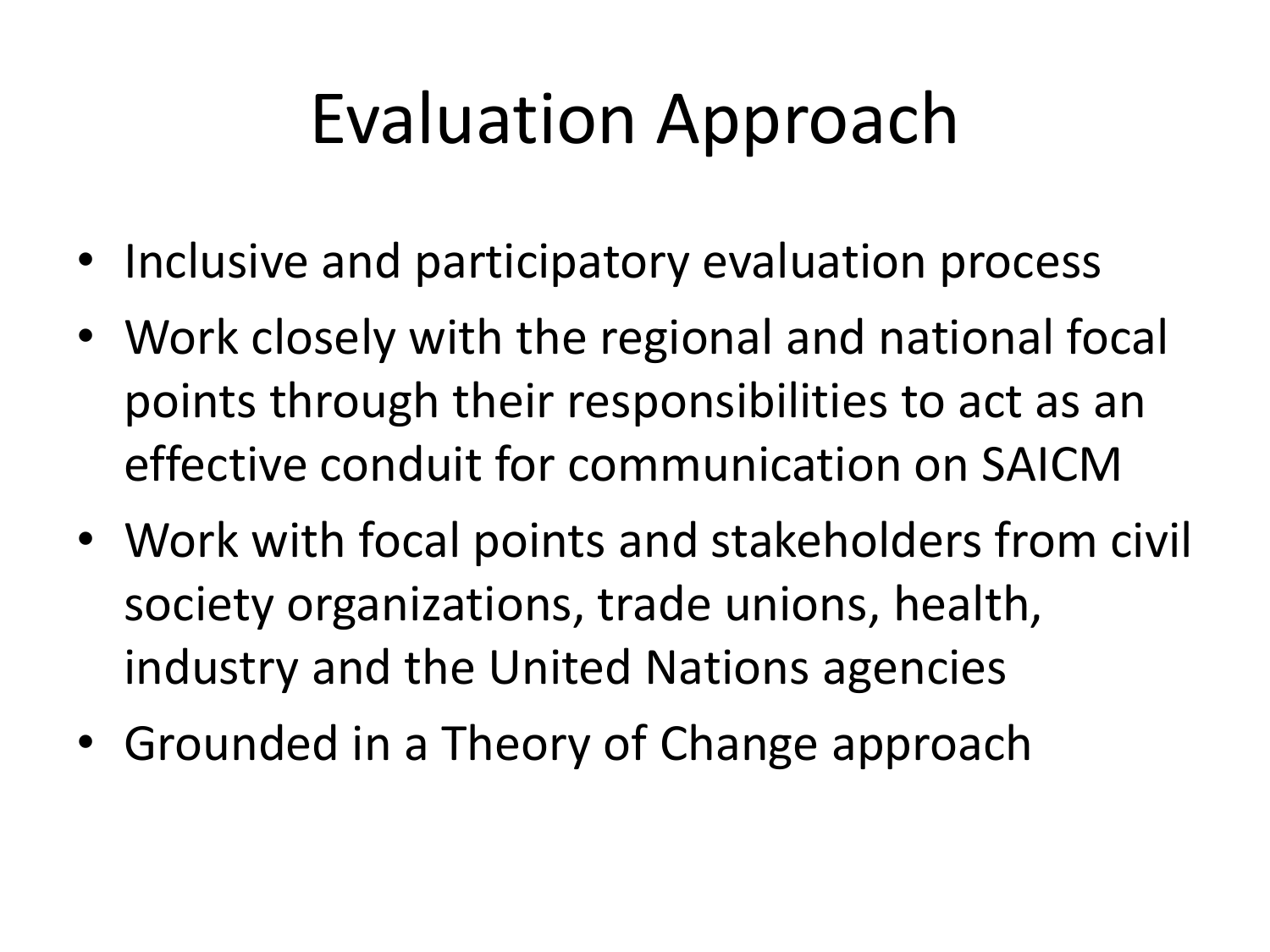# Evaluation Approach

- Inclusive and participatory evaluation process
- Work closely with the regional and national focal points through their responsibilities to act as an effective conduit for communication on SAICM
- Work with focal points and stakeholders from civil society organizations, trade unions, health, industry and the United Nations agencies
- Grounded in a Theory of Change approach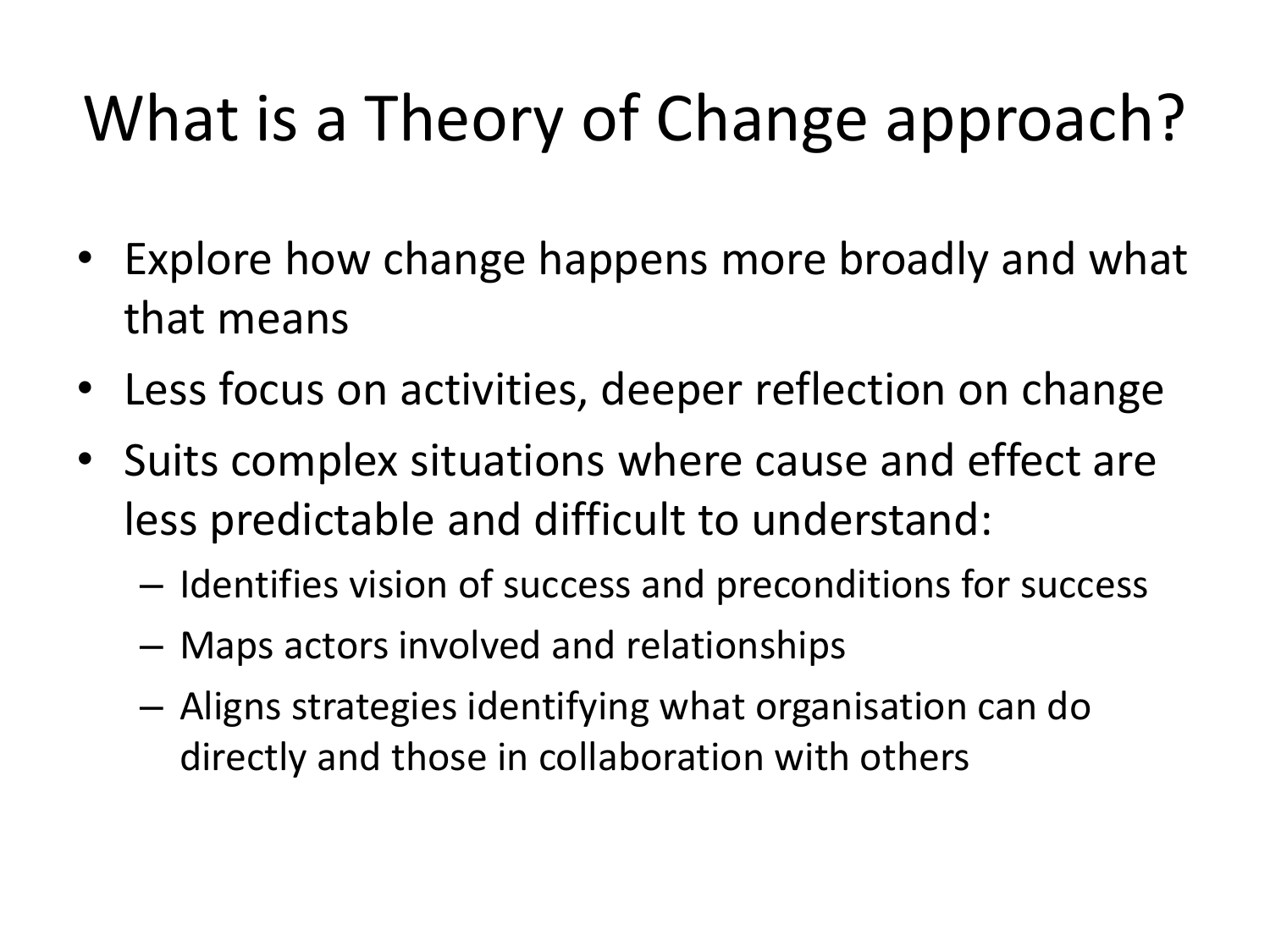## What is a Theory of Change approach?

- Explore how change happens more broadly and what that means
- Less focus on activities, deeper reflection on change
- Suits complex situations where cause and effect are less predictable and difficult to understand:
	- Identifies vision of success and preconditions for success
	- Maps actors involved and relationships
	- Aligns strategies identifying what organisation can do directly and those in collaboration with others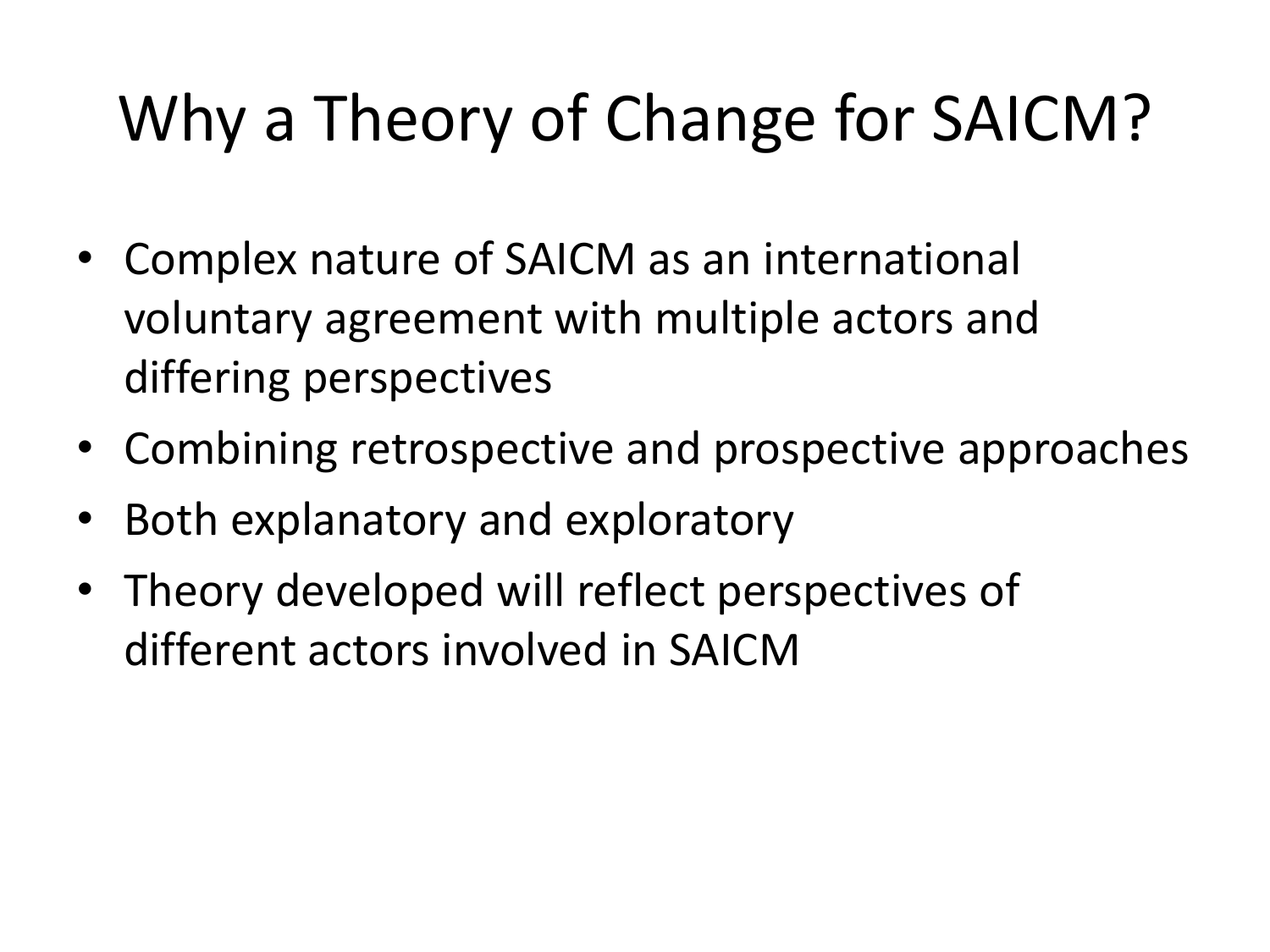#### Why a Theory of Change for SAICM?

- Complex nature of SAICM as an international voluntary agreement with multiple actors and differing perspectives
- Combining retrospective and prospective approaches
- Both explanatory and exploratory
- Theory developed will reflect perspectives of different actors involved in SAICM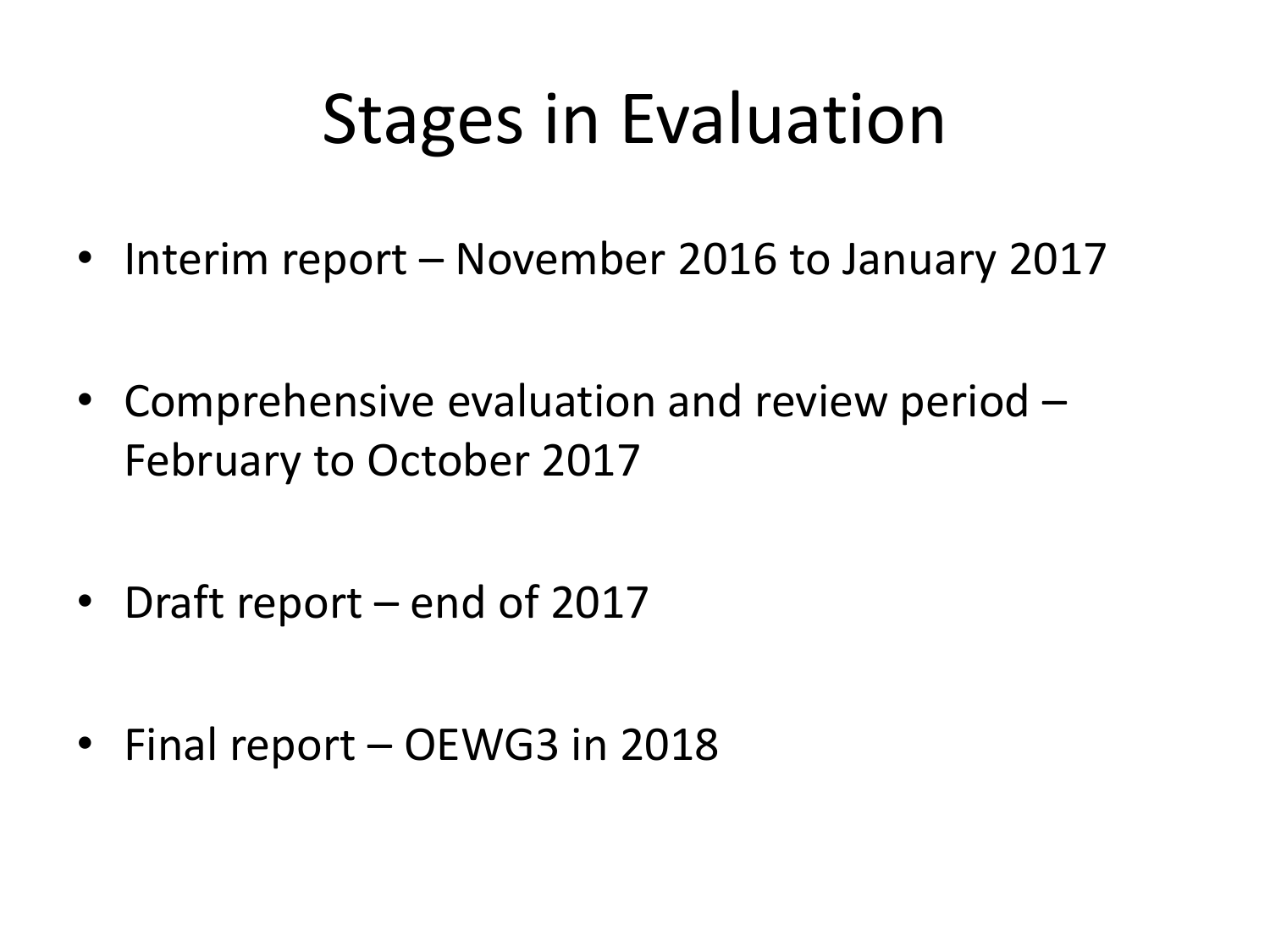## Stages in Evaluation

- Interim report November 2016 to January 2017
- Comprehensive evaluation and review period February to October 2017
- Draft report end of 2017
- Final report OEWG3 in 2018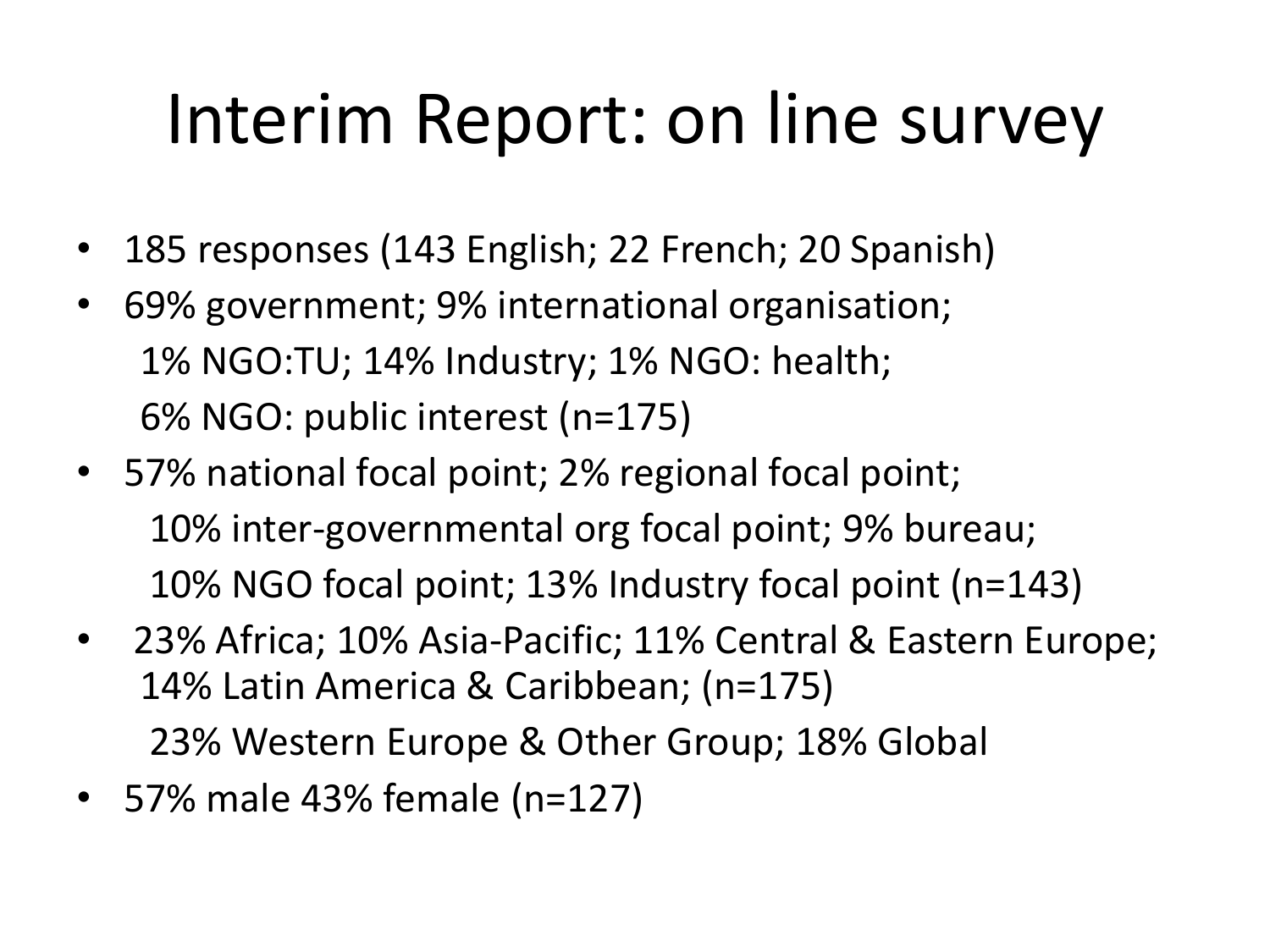# Interim Report: on line survey

- 185 responses (143 English; 22 French; 20 Spanish)
- 69% government; 9% international organisation; 1% NGO:TU; 14% Industry; 1% NGO: health; 6% NGO: public interest (n=175)
- 57% national focal point; 2% regional focal point; 10% inter-governmental org focal point; 9% bureau; 10% NGO focal point; 13% Industry focal point (n=143)
- 23% Africa; 10% Asia-Pacific; 11% Central & Eastern Europe; 14% Latin America & Caribbean; (n=175) 23% Western Europe & Other Group; 18% Global
- 57% male 43% female (n=127)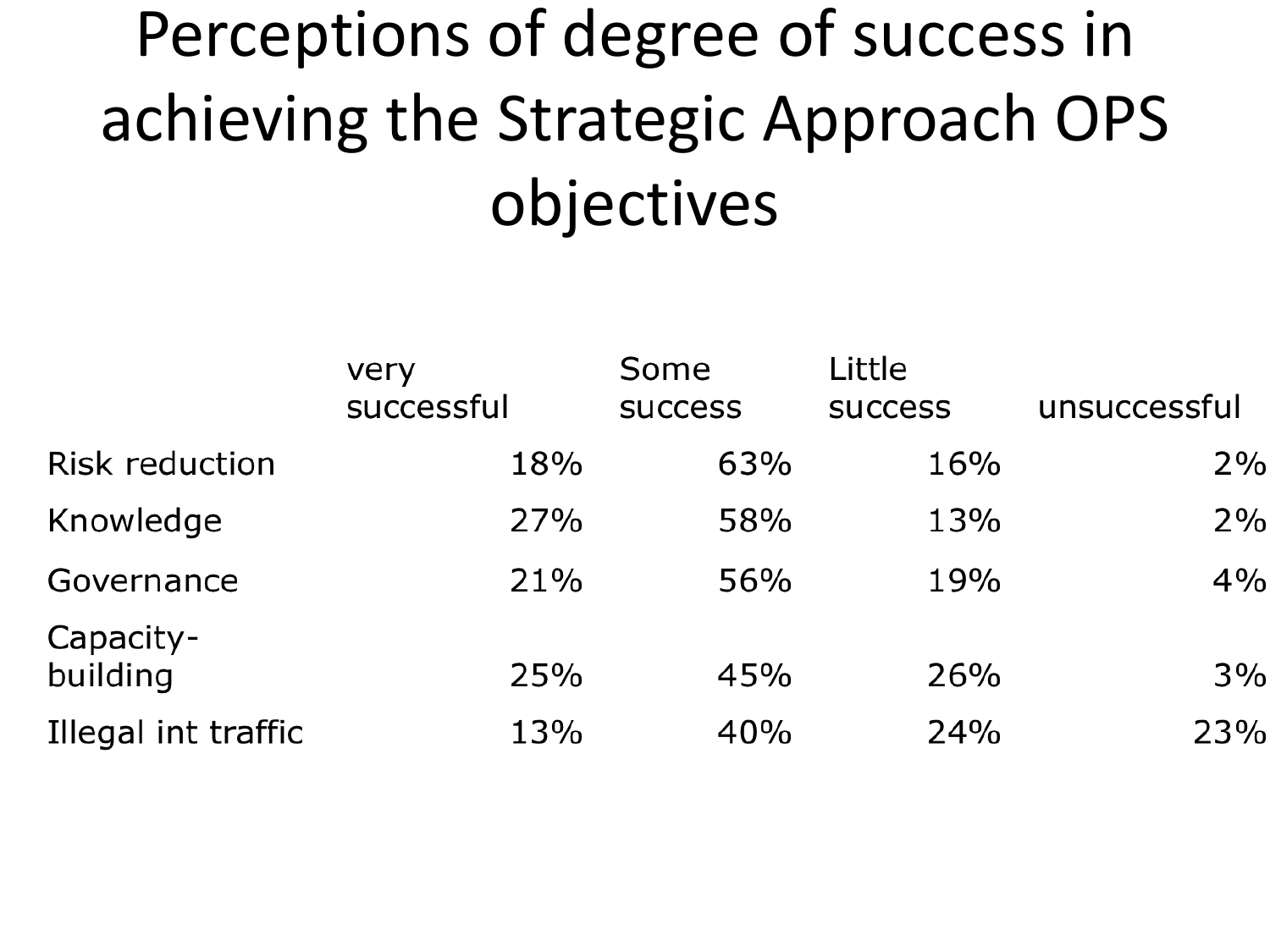## Perceptions of degree of success in achieving the Strategic Approach OPS objectives

|                       | very<br>successful | Some           | Little         | unsuccessful |
|-----------------------|--------------------|----------------|----------------|--------------|
|                       |                    | <b>SUCCESS</b> | <b>SUCCESS</b> |              |
| <b>Risk reduction</b> | 18%                | 63%            | 16%            | 2%           |
| Knowledge             | 27%                | 58%            | 13%            | 2%           |
| Governance            | 21%                | 56%            | 19%            | 4%           |
| Capacity-             |                    |                |                |              |
| building              | 25%                | 45%            | 26%            | 3%           |
| Illegal int traffic   | 13%                | 40%            | 24%            | 23%          |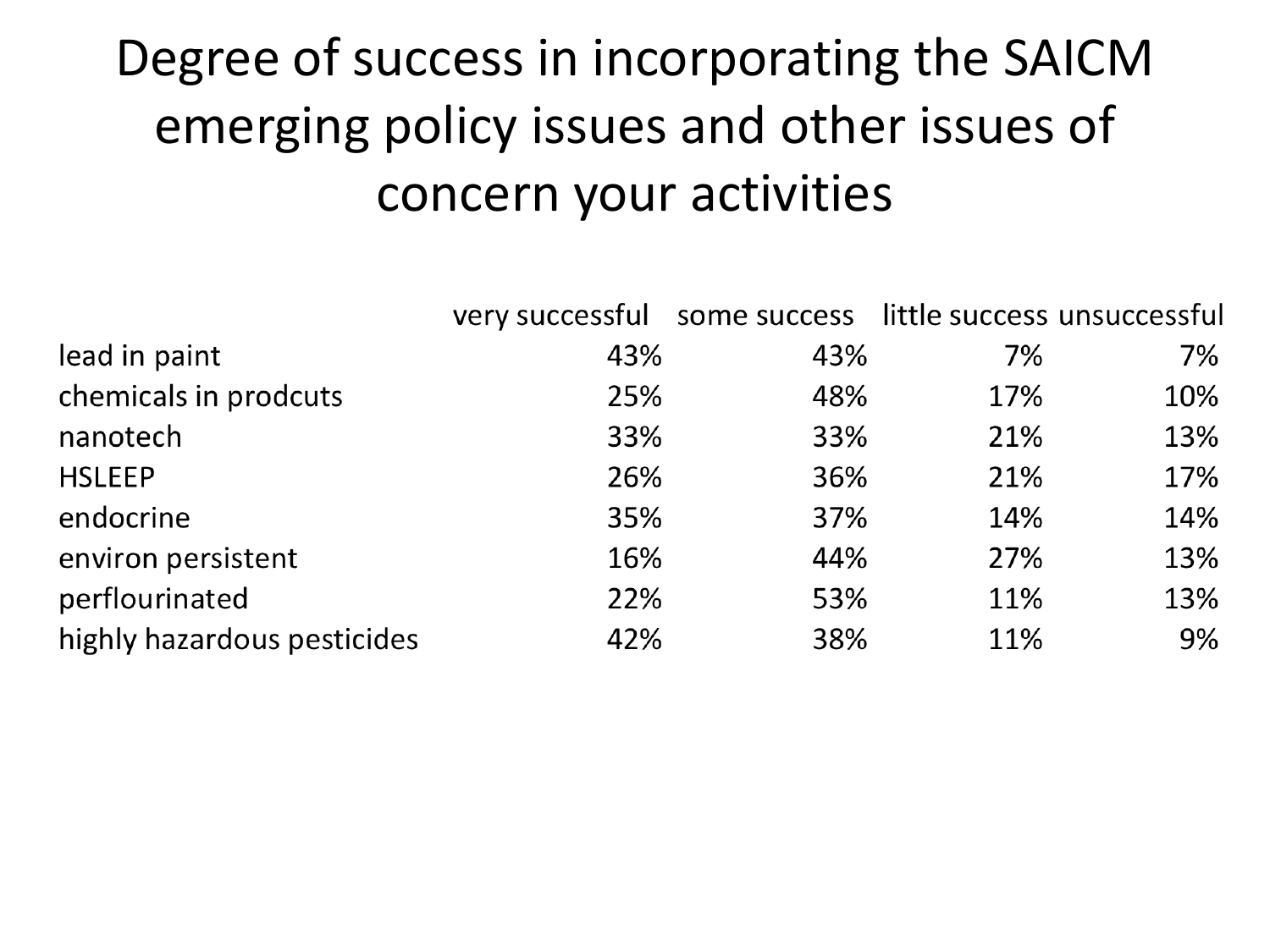#### Degree of success in incorporating the SAICM emerging policy issues and other issues of concern your activities

|                             | very successful some success little success unsuccessful |     |     |     |
|-----------------------------|----------------------------------------------------------|-----|-----|-----|
| lead in paint               | 43%                                                      | 43% | 7%  | 7%  |
| chemicals in prodcuts       | 25%                                                      | 48% | 17% | 10% |
| nanotech                    | 33%                                                      | 33% | 21% | 13% |
| <b>HSLEEP</b>               | 26%                                                      | 36% | 21% | 17% |
| endocrine                   | 35%                                                      | 37% | 14% | 14% |
| environ persistent          | 16%                                                      | 44% | 27% | 13% |
| perflourinated              | 22%                                                      | 53% | 11% | 13% |
| highly hazardous pesticides | 42%                                                      | 38% | 11% | 9%  |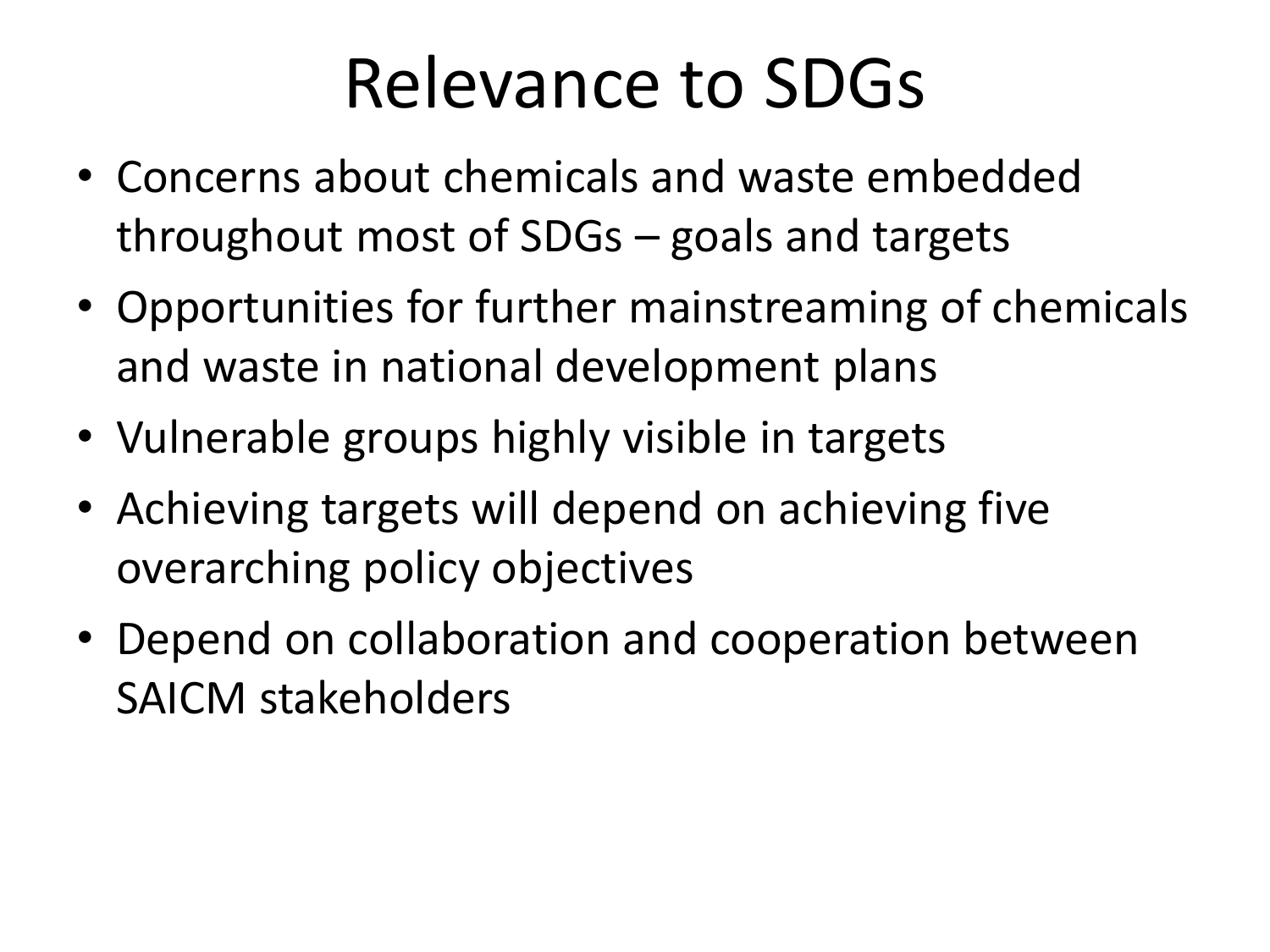#### Relevance to SDGs

- Concerns about chemicals and waste embedded throughout most of SDGs – goals and targets
- Opportunities for further mainstreaming of chemicals and waste in national development plans
- Vulnerable groups highly visible in targets
- Achieving targets will depend on achieving five overarching policy objectives
- Depend on collaboration and cooperation between SAICM stakeholders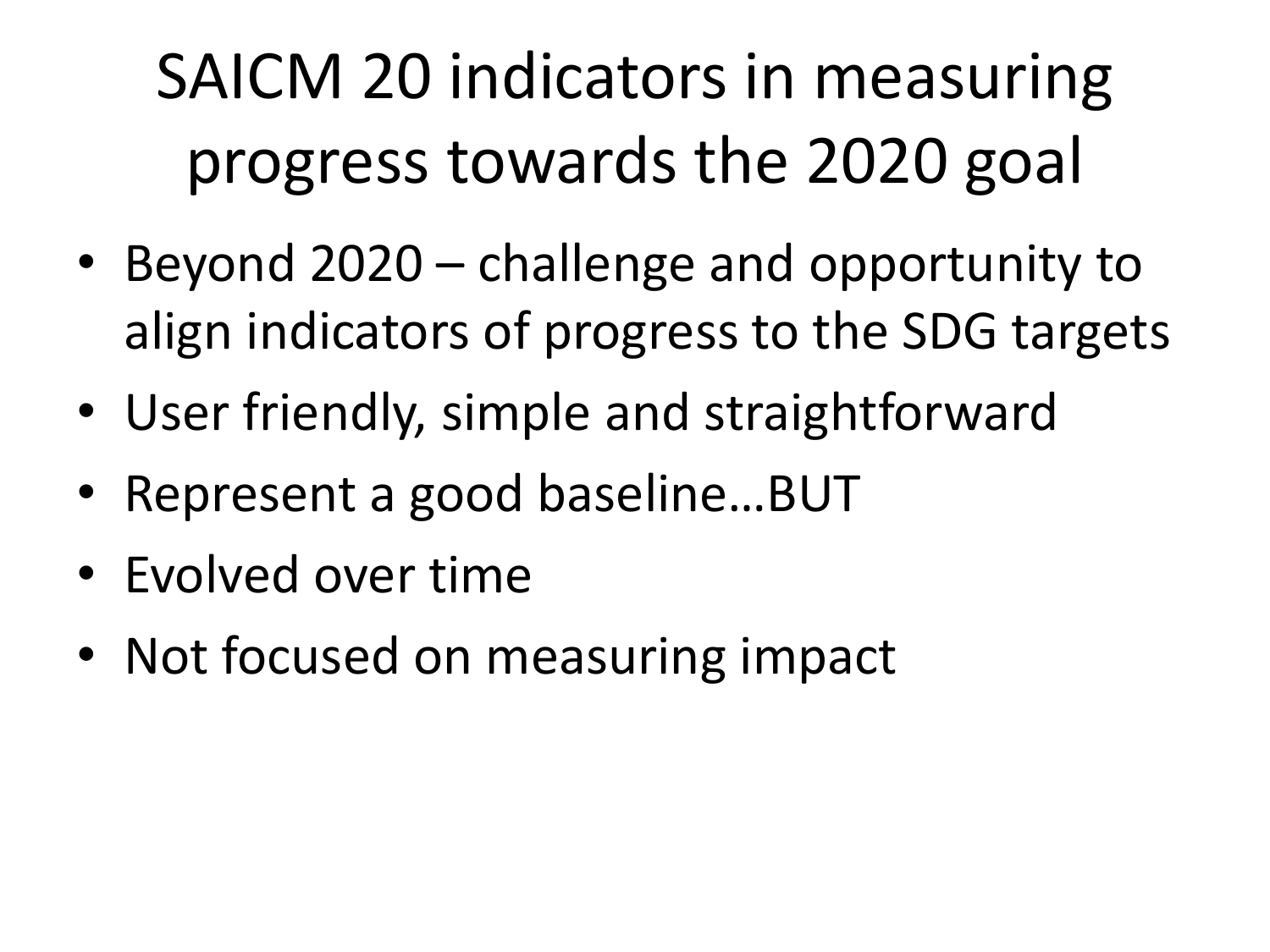## SAICM 20 indicators in measuring progress towards the 2020 goal

- Beyond 2020 challenge and opportunity to align indicators of progress to the SDG targets
- User friendly, simple and straightforward
- Represent a good baseline...BUT
- Evolved over time
- Not focused on measuring impact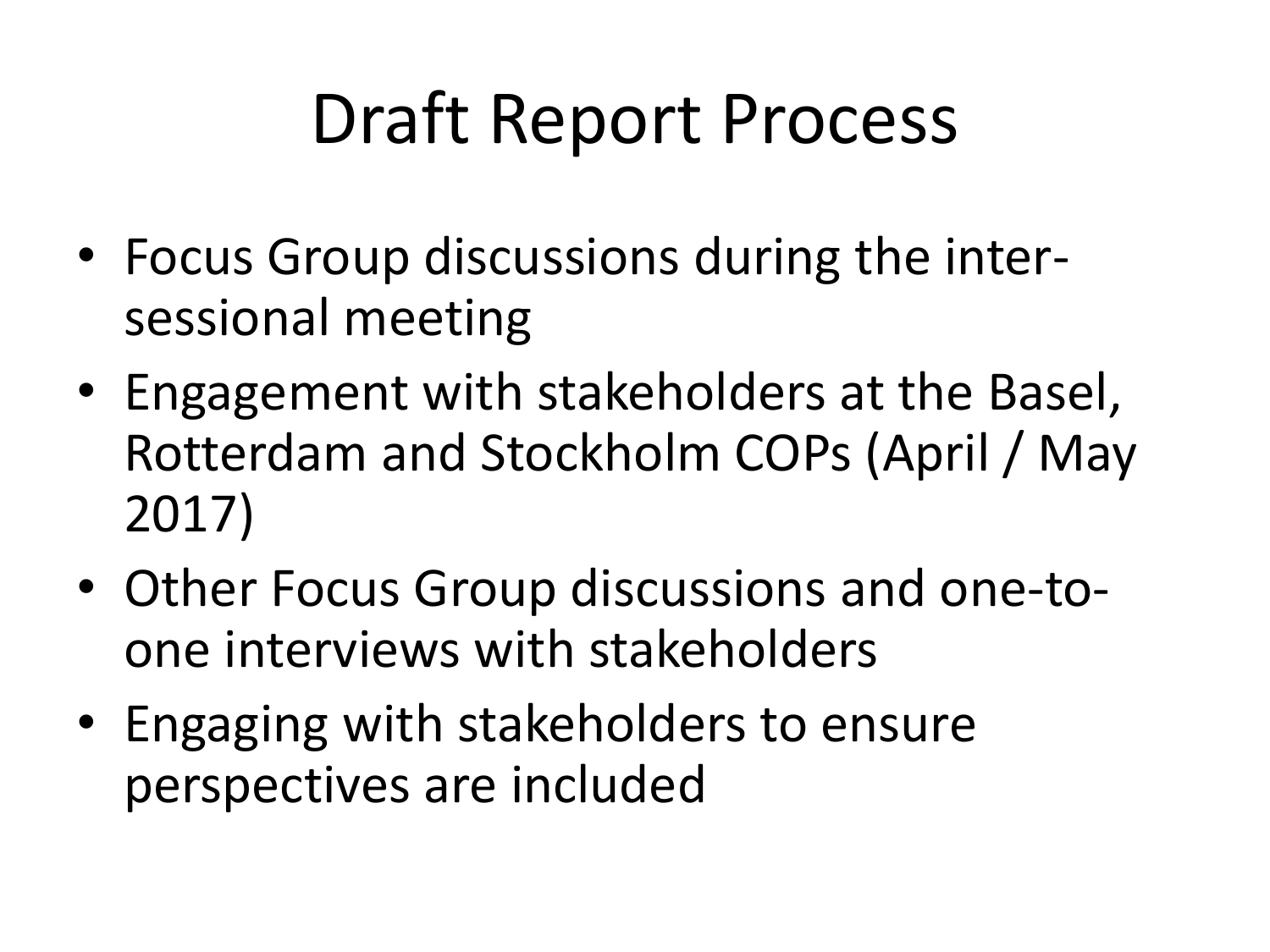## Draft Report Process

- Focus Group discussions during the intersessional meeting
- Engagement with stakeholders at the Basel, Rotterdam and Stockholm COPs (April / May 2017)
- Other Focus Group discussions and one-toone interviews with stakeholders
- Engaging with stakeholders to ensure perspectives are included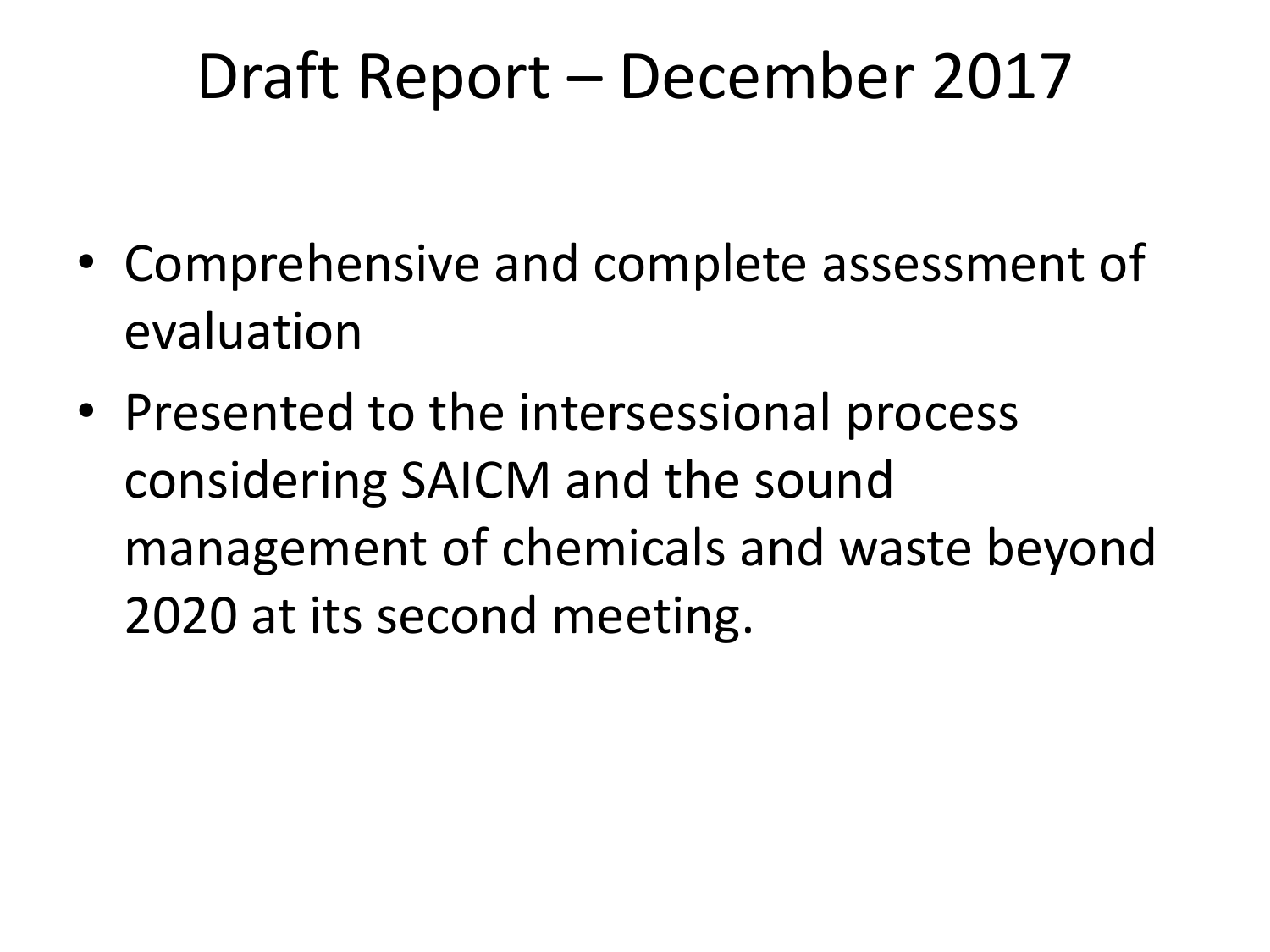#### Draft Report – December 2017

- Comprehensive and complete assessment of evaluation
- Presented to the intersessional process considering SAICM and the sound management of chemicals and waste beyond 2020 at its second meeting.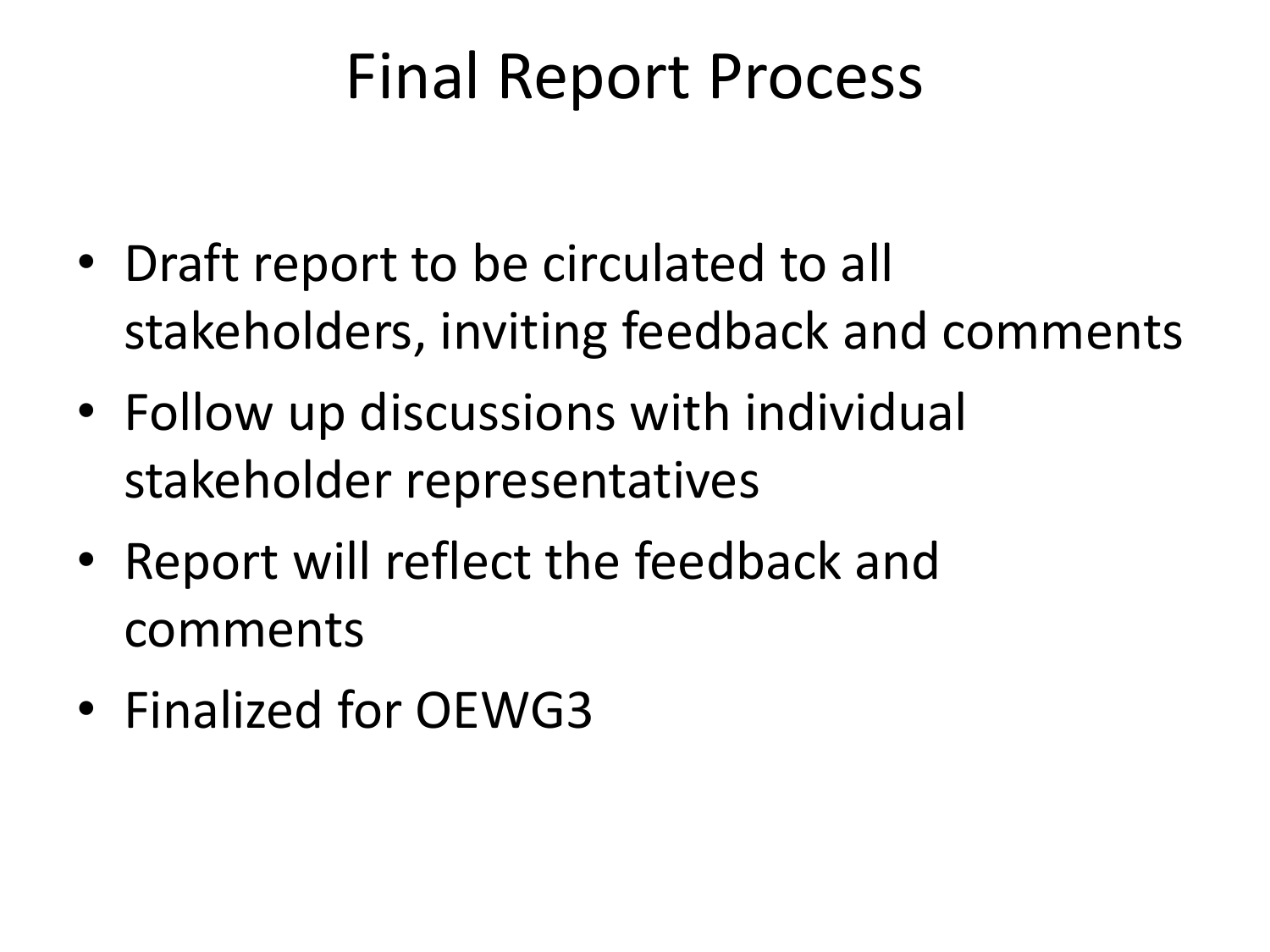#### Final Report Process

- Draft report to be circulated to all stakeholders, inviting feedback and comments
- Follow up discussions with individual stakeholder representatives
- Report will reflect the feedback and comments
- Finalized for OEWG3